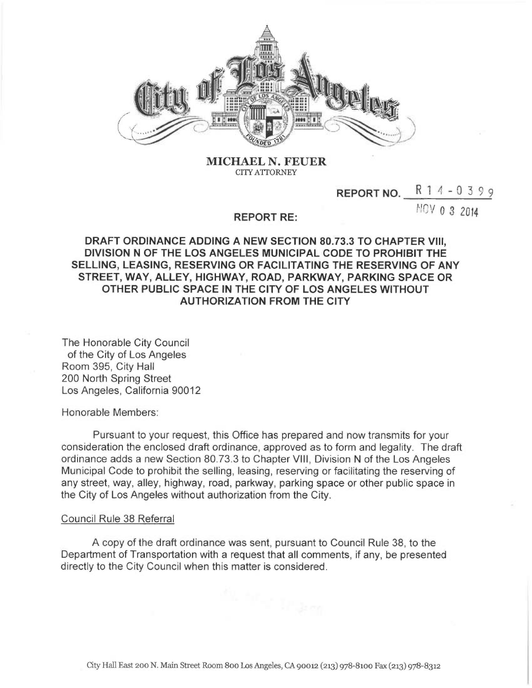

MICHAEL N. FEUER CITY ATTORNEY

## **REPORT NO.**  $R$  1 4 - 0 3 9 9

**NOV 0 3 2014** 

## REPORT RE:

DRAFT ORDINANCE ADDING A NEW SECTION 80.73.3 TO CHAPTER VIII, DIVISION N OF THE LOS ANGELES MUNICIPAL CODE TO PROHIBIT THE SELLING, LEASING, RESERVING OR FACILITATING THE RESERVING OF ANY STREET, WAY, ALLEY, HIGHWAY, ROAD, PARKWAY, PARKING SPACE OR OTHER PUBLIC SPACE IN THE CITY OF LOS ANGELES WITHOUT AUTHORIZATION FROM THE CITY

The Honorable City Council of the City of Los Angeles Room 395, City Hall 200 North Spring Street Los Angeles, California 90012

Honorable Members:

Pursuant to your request, this Office has prepared and now transmits for your consideration the enclosed draft ordinance, approved as to form and legality. The draft ordinance adds a new Section 80.73.3 to Chapter VIII, Division N of the Los Angeles Municipal Code to prohibit the selling, leasing, reserving or facilitating the reserving of any street, way, alley, highway, road, parkway, parking space or other public space in the City of Los Angeles without authorization from the City.

## Council Rule 38 Referral

A copy of the draft ordinance was sent, pursuant to Council Rule 38, to the Department of Transportation with a request that all comments, if any, be presented directly to the City Council when this matter is considered.